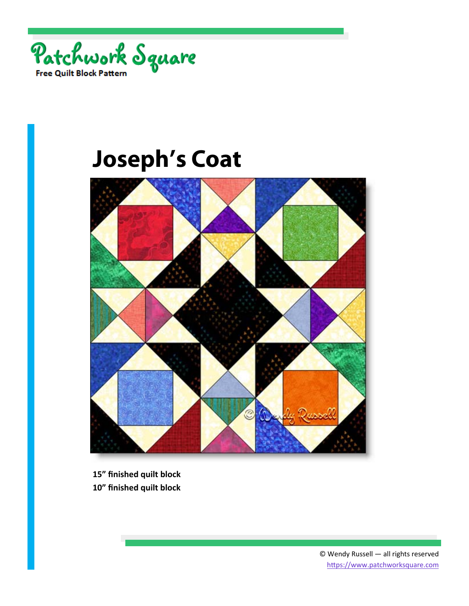



**15" finished quilt block 10" finished quilt block**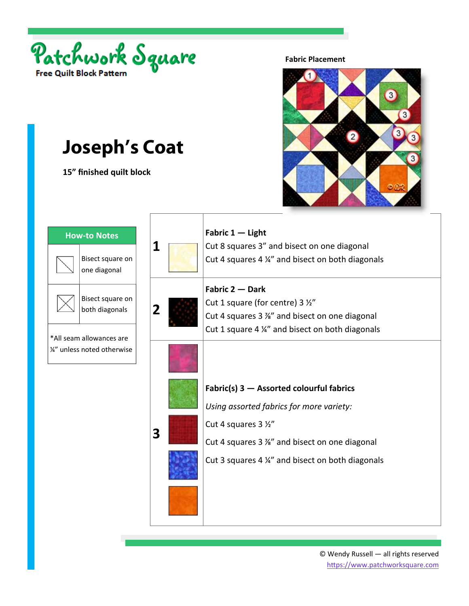

**15" finished quilt block** 

#### **Fabric Placement**



| <b>How-to Notes</b>                                                                           |                         | Fabric 1 - Light                                                                                                                                                                                                   |
|-----------------------------------------------------------------------------------------------|-------------------------|--------------------------------------------------------------------------------------------------------------------------------------------------------------------------------------------------------------------|
| Bisect square on<br>one diagonal                                                              | 1                       | Cut 8 squares 3" and bisect on one diagonal<br>Cut 4 squares 4 1/4" and bisect on both diagonals                                                                                                                   |
| Bisect square on<br>both diagonals<br>*All seam allowances are<br>1/2" unless noted otherwise | $\overline{\mathbf{2}}$ | Fabric 2 - Dark<br>Cut 1 square (for centre) 3 1/2"<br>Cut 4 squares 3 %" and bisect on one diagonal<br>Cut 1 square 4 1/4" and bisect on both diagonals                                                           |
|                                                                                               | 3                       | Fabric(s) $3 -$ Assorted colourful fabrics<br>Using assorted fabrics for more variety:<br>Cut 4 squares 3 1/2"<br>Cut 4 squares 3 %" and bisect on one diagonal<br>Cut 3 squares 4 %" and bisect on both diagonals |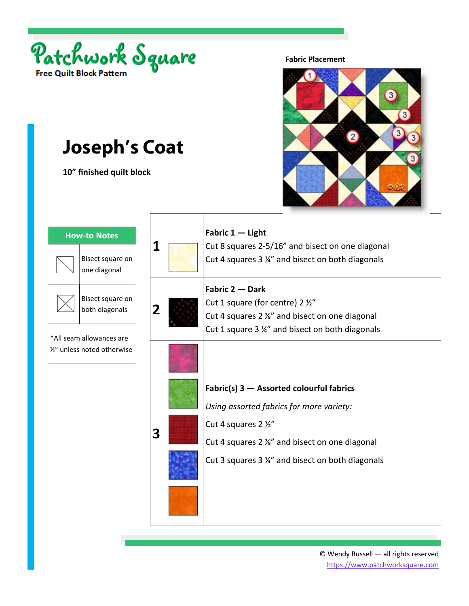

**10" finished quilt block** 

#### **Fabric Placement**



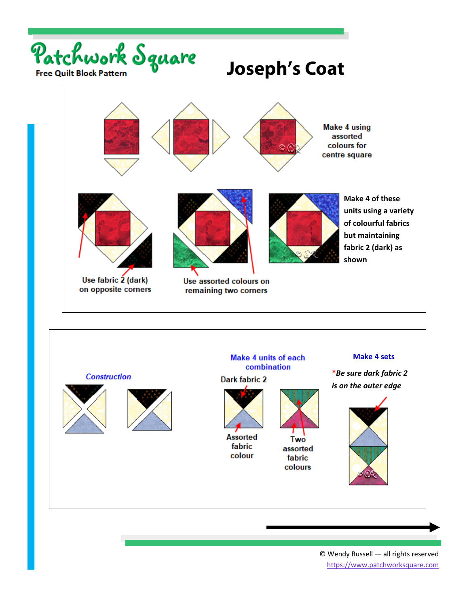





© Wendy Russell — all rights reserved https://www.patchworksquare.com